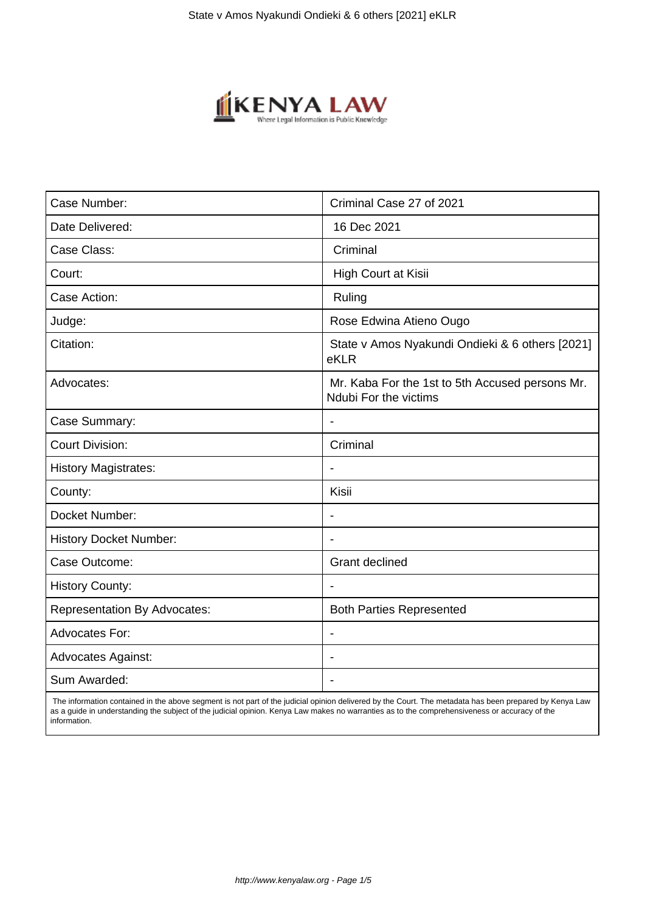

| Case Number:                        | Criminal Case 27 of 2021                                                 |
|-------------------------------------|--------------------------------------------------------------------------|
| Date Delivered:                     | 16 Dec 2021                                                              |
| Case Class:                         | Criminal                                                                 |
| Court:                              | High Court at Kisii                                                      |
| Case Action:                        | Ruling                                                                   |
| Judge:                              | Rose Edwina Atieno Ougo                                                  |
| Citation:                           | State v Amos Nyakundi Ondieki & 6 others [2021]<br>eKLR                  |
| Advocates:                          | Mr. Kaba For the 1st to 5th Accused persons Mr.<br>Ndubi For the victims |
| Case Summary:                       | $\overline{\phantom{a}}$                                                 |
| <b>Court Division:</b>              | Criminal                                                                 |
| <b>History Magistrates:</b>         |                                                                          |
| County:                             | Kisii                                                                    |
| Docket Number:                      | $\blacksquare$                                                           |
| <b>History Docket Number:</b>       | $\blacksquare$                                                           |
| Case Outcome:                       | <b>Grant declined</b>                                                    |
| <b>History County:</b>              |                                                                          |
| <b>Representation By Advocates:</b> | <b>Both Parties Represented</b>                                          |
| Advocates For:                      | $\overline{\phantom{a}}$                                                 |
| <b>Advocates Against:</b>           |                                                                          |
| Sum Awarded:                        |                                                                          |
|                                     |                                                                          |

 The information contained in the above segment is not part of the judicial opinion delivered by the Court. The metadata has been prepared by Kenya Law as a guide in understanding the subject of the judicial opinion. Kenya Law makes no warranties as to the comprehensiveness or accuracy of the information.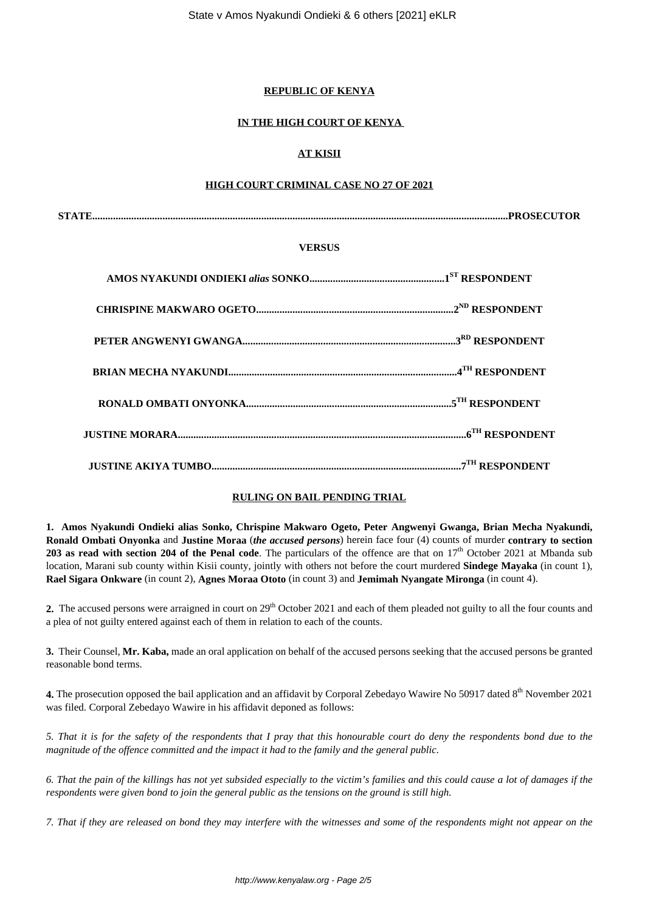#### **REPUBLIC OF KENYA**

#### **IN THE HIGH COURT OF KENYA**

# **AT KISII**

#### **HIGH COURT CRIMINAL CASE NO 27 OF 2021**

**STATE................................................................................................................................................................PROSECUTOR**

#### **VERSUS**

#### **RULING ON BAIL PENDING TRIAL**

**1. Amos Nyakundi Ondieki alias Sonko, Chrispine Makwaro Ogeto, Peter Angwenyi Gwanga, Brian Mecha Nyakundi, Ronald Ombati Onyonka** and **Justine Moraa** (*the accused persons*) herein face four (4) counts of murder **contrary to section 203 as read with section 204 of the Penal code**. The particulars of the offence are that on 17<sup>th</sup> October 2021 at Mbanda sub location, Marani sub county within Kisii county, jointly with others not before the court murdered **Sindege Mayaka** (in count 1), **Rael Sigara Onkware** (in count 2), **Agnes Moraa Ototo** (in count 3) and **Jemimah Nyangate Mironga** (in count 4).

**2.** The accused persons were arraigned in court on 29<sup>th</sup> October 2021 and each of them pleaded not guilty to all the four counts and a plea of not guilty entered against each of them in relation to each of the counts.

**3.** Their Counsel, **Mr. Kaba,** made an oral application on behalf of the accused persons seeking that the accused persons be granted reasonable bond terms.

4. The prosecution opposed the bail application and an affidavit by Corporal Zebedayo Wawire No 50917 dated 8<sup>th</sup> November 2021 was filed. Corporal Zebedayo Wawire in his affidavit deponed as follows:

*5. That it is for the safety of the respondents that I pray that this honourable court do deny the respondents bond due to the magnitude of the offence committed and the impact it had to the family and the general public.*

*6. That the pain of the killings has not yet subsided especially to the victim's families and this could cause a lot of damages if the respondents were given bond to join the general public as the tensions on the ground is still high.*

*7. That if they are released on bond they may interfere with the witnesses and some of the respondents might not appear on the*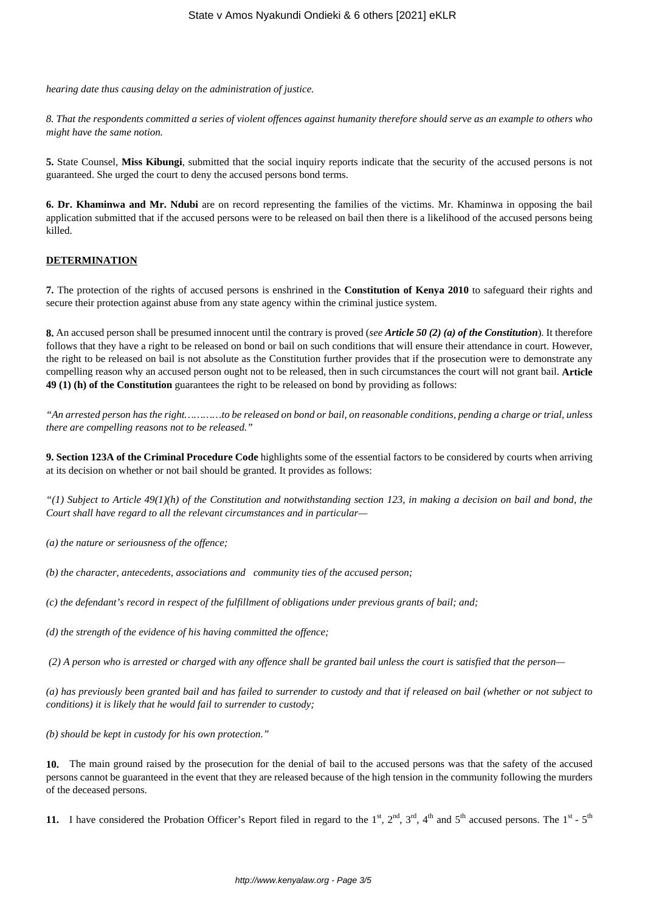*hearing date thus causing delay on the administration of justice.*

*8. That the respondents committed a series of violent offences against humanity therefore should serve as an example to others who might have the same notion.*

**5.** State Counsel, **Miss Kibungi**, submitted that the social inquiry reports indicate that the security of the accused persons is not guaranteed. She urged the court to deny the accused persons bond terms.

**6. Dr. Khaminwa and Mr. Ndubi** are on record representing the families of the victims. Mr. Khaminwa in opposing the bail application submitted that if the accused persons were to be released on bail then there is a likelihood of the accused persons being killed.

#### **DETERMINATION**

**7.** The protection of the rights of accused persons is enshrined in the **Constitution of Kenya 2010** to safeguard their rights and secure their protection against abuse from any state agency within the criminal justice system.

**8.** An accused person shall be presumed innocent until the contrary is proved (*see Article 50 (2) (a) of the Constitution*). It therefore follows that they have a right to be released on bond or bail on such conditions that will ensure their attendance in court. However, the right to be released on bail is not absolute as the Constitution further provides that if the prosecution were to demonstrate any compelling reason why an accused person ought not to be released, then in such circumstances the court will not grant bail. **Article 49 (1) (h) of the Constitution** guarantees the right to be released on bond by providing as follows:

*"An arrested person has the right…………to be released on bond or bail, on reasonable conditions, pending a charge or trial, unless there are compelling reasons not to be released."*

**9. Section 123A of the Criminal Procedure Code** highlights some of the essential factors to be considered by courts when arriving at its decision on whether or not bail should be granted. It provides as follows:

*"(1) Subject to Article 49(1)(h) of the Constitution and notwithstanding section 123, in making a decision on bail and bond, the Court shall have regard to all the relevant circumstances and in particular—*

*(a) the nature or seriousness of the offence;*

*(b) the character, antecedents, associations and community ties of the accused person;*

*(c) the defendant's record in respect of the fulfillment of obligations under previous grants of bail; and;*

*(d) the strength of the evidence of his having committed the offence;*

*(2) A person who is arrested or charged with any offence shall be granted bail unless the court is satisfied that the person—*

*(a) has previously been granted bail and has failed to surrender to custody and that if released on bail (whether or not subject to conditions) it is likely that he would fail to surrender to custody;*

*(b) should be kept in custody for his own protection."*

**10.** The main ground raised by the prosecution for the denial of bail to the accused persons was that the safety of the accused persons cannot be guaranteed in the event that they are released because of the high tension in the community following the murders of the deceased persons.

**11.** I have considered the Probation Officer's Report filed in regard to the  $1^{st}$ ,  $2^{nd}$ ,  $3^{rd}$ ,  $4^{th}$  and  $5^{th}$  accused persons. The  $1^{st}$  -  $5^{th}$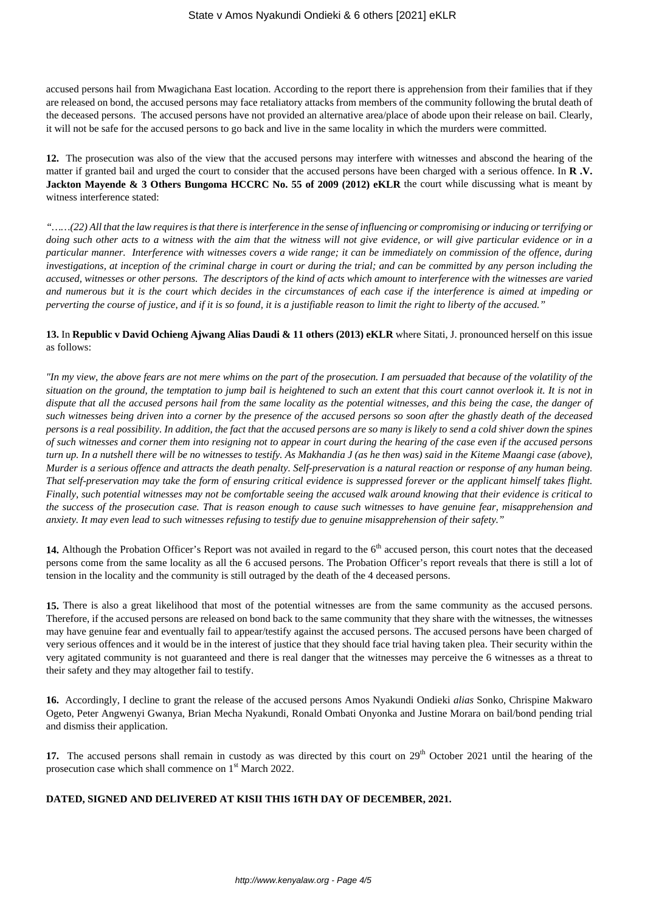accused persons hail from Mwagichana East location. According to the report there is apprehension from their families that if they are released on bond, the accused persons may face retaliatory attacks from members of the community following the brutal death of the deceased persons. The accused persons have not provided an alternative area/place of abode upon their release on bail. Clearly, it will not be safe for the accused persons to go back and live in the same locality in which the murders were committed.

**12.** The prosecution was also of the view that the accused persons may interfere with witnesses and abscond the hearing of the matter if granted bail and urged the court to consider that the accused persons have been charged with a serious offence. In **R .V. Jackton Mayende & 3 Others Bungoma HCCRC No. 55 of 2009 (2012) eKLR** the court while discussing what is meant by witness interference stated:

*"……(22) All that the law requires is that there is interference in the sense of influencing or compromising or inducing or terrifying or doing such other acts to a witness with the aim that the witness will not give evidence, or will give particular evidence or in a particular manner. Interference with witnesses covers a wide range; it can be immediately on commission of the offence, during investigations, at inception of the criminal charge in court or during the trial; and can be committed by any person including the accused, witnesses or other persons. The descriptors of the kind of acts which amount to interference with the witnesses are varied and numerous but it is the court which decides in the circumstances of each case if the interference is aimed at impeding or perverting the course of justice, and if it is so found, it is a justifiable reason to limit the right to liberty of the accused."*

#### **13.** In **Republic v David Ochieng Ajwang Alias Daudi & 11 others (2013) eKLR** where Sitati, J. pronounced herself on this issue as follows:

*"In my view, the above fears are not mere whims on the part of the prosecution. I am persuaded that because of the volatility of the situation on the ground, the temptation to jump bail is heightened to such an extent that this court cannot overlook it. It is not in dispute that all the accused persons hail from the same locality as the potential witnesses, and this being the case, the danger of such witnesses being driven into a corner by the presence of the accused persons so soon after the ghastly death of the deceased persons is a real possibility. In addition, the fact that the accused persons are so many is likely to send a cold shiver down the spines of such witnesses and corner them into resigning not to appear in court during the hearing of the case even if the accused persons turn up. In a nutshell there will be no witnesses to testify. As Makhandia J (as he then was) said in the Kiteme Maangi case (above), Murder is a serious offence and attracts the death penalty. Self-preservation is a natural reaction or response of any human being. That self-preservation may take the form of ensuring critical evidence is suppressed forever or the applicant himself takes flight. Finally, such potential witnesses may not be comfortable seeing the accused walk around knowing that their evidence is critical to the success of the prosecution case. That is reason enough to cause such witnesses to have genuine fear, misapprehension and anxiety. It may even lead to such witnesses refusing to testify due to genuine misapprehension of their safety."*

14. Although the Probation Officer's Report was not availed in regard to the 6<sup>th</sup> accused person, this court notes that the deceased persons come from the same locality as all the 6 accused persons. The Probation Officer's report reveals that there is still a lot of tension in the locality and the community is still outraged by the death of the 4 deceased persons.

**15.** There is also a great likelihood that most of the potential witnesses are from the same community as the accused persons. Therefore, if the accused persons are released on bond back to the same community that they share with the witnesses, the witnesses may have genuine fear and eventually fail to appear/testify against the accused persons. The accused persons have been charged of very serious offences and it would be in the interest of justice that they should face trial having taken plea. Their security within the very agitated community is not guaranteed and there is real danger that the witnesses may perceive the 6 witnesses as a threat to their safety and they may altogether fail to testify.

**16.** Accordingly, I decline to grant the release of the accused persons Amos Nyakundi Ondieki *alias* Sonko, Chrispine Makwaro Ogeto, Peter Angwenyi Gwanya, Brian Mecha Nyakundi, Ronald Ombati Onyonka and Justine Morara on bail/bond pending trial and dismiss their application.

**17.** The accused persons shall remain in custody as was directed by this court on 29<sup>th</sup> October 2021 until the hearing of the prosecution case which shall commence on 1<sup>st</sup> March 2022.

#### **DATED, SIGNED AND DELIVERED AT KISII THIS 16TH DAY OF DECEMBER, 2021.**